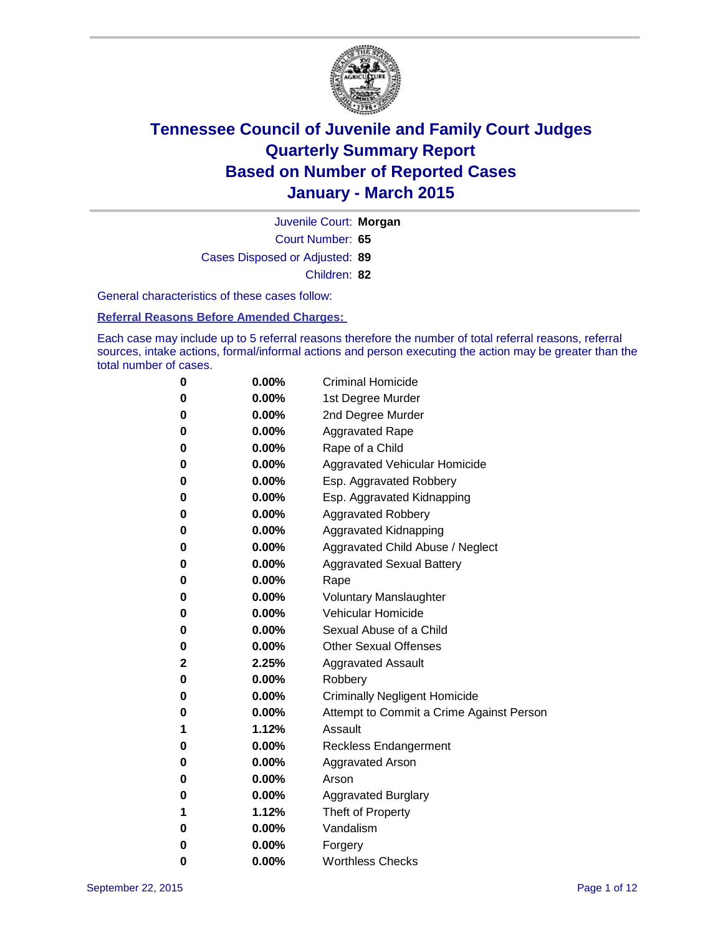

Court Number: **65** Juvenile Court: **Morgan** Cases Disposed or Adjusted: **89** Children: **82**

General characteristics of these cases follow:

**Referral Reasons Before Amended Charges:** 

Each case may include up to 5 referral reasons therefore the number of total referral reasons, referral sources, intake actions, formal/informal actions and person executing the action may be greater than the total number of cases.

| 0        | $0.00\%$ | <b>Criminal Homicide</b>                 |
|----------|----------|------------------------------------------|
| 0        | $0.00\%$ | 1st Degree Murder                        |
| $\bf{0}$ | 0.00%    | 2nd Degree Murder                        |
| 0        | $0.00\%$ | <b>Aggravated Rape</b>                   |
| 0        | $0.00\%$ | Rape of a Child                          |
| 0        | $0.00\%$ | Aggravated Vehicular Homicide            |
| $\bf{0}$ | $0.00\%$ | Esp. Aggravated Robbery                  |
| 0        | $0.00\%$ | Esp. Aggravated Kidnapping               |
| $\bf{0}$ | $0.00\%$ | <b>Aggravated Robbery</b>                |
| $\bf{0}$ | $0.00\%$ | <b>Aggravated Kidnapping</b>             |
| 0        | 0.00%    | Aggravated Child Abuse / Neglect         |
| 0        | $0.00\%$ | <b>Aggravated Sexual Battery</b>         |
| $\bf{0}$ | $0.00\%$ | Rape                                     |
| 0        | $0.00\%$ | <b>Voluntary Manslaughter</b>            |
| 0        | $0.00\%$ | <b>Vehicular Homicide</b>                |
| $\bf{0}$ | $0.00\%$ | Sexual Abuse of a Child                  |
| $\bf{0}$ | $0.00\%$ | <b>Other Sexual Offenses</b>             |
| 2        | 2.25%    | <b>Aggravated Assault</b>                |
| $\bf{0}$ | $0.00\%$ | Robbery                                  |
| $\bf{0}$ | $0.00\%$ | <b>Criminally Negligent Homicide</b>     |
| 0        | $0.00\%$ | Attempt to Commit a Crime Against Person |
| 1        | 1.12%    | Assault                                  |
| $\bf{0}$ | $0.00\%$ | <b>Reckless Endangerment</b>             |
| 0        | $0.00\%$ | <b>Aggravated Arson</b>                  |
| 0        | $0.00\%$ | Arson                                    |
| $\bf{0}$ | $0.00\%$ | <b>Aggravated Burglary</b>               |
| 1        | 1.12%    | Theft of Property                        |
| 0        | $0.00\%$ | Vandalism                                |
| 0        | 0.00%    | Forgery                                  |
| 0        | $0.00\%$ | <b>Worthless Checks</b>                  |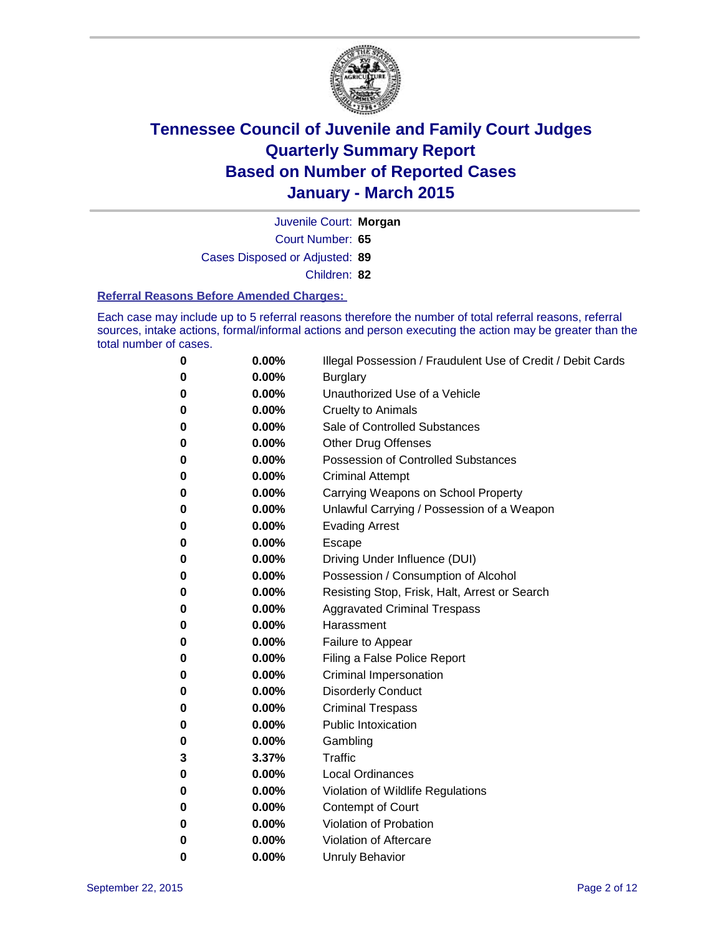

Court Number: **65** Juvenile Court: **Morgan** Cases Disposed or Adjusted: **89** Children: **82**

#### **Referral Reasons Before Amended Charges:**

Each case may include up to 5 referral reasons therefore the number of total referral reasons, referral sources, intake actions, formal/informal actions and person executing the action may be greater than the total number of cases.

| 0 | 0.00% | Illegal Possession / Fraudulent Use of Credit / Debit Cards |
|---|-------|-------------------------------------------------------------|
| 0 | 0.00% | <b>Burglary</b>                                             |
| 0 | 0.00% | Unauthorized Use of a Vehicle                               |
| 0 | 0.00% | <b>Cruelty to Animals</b>                                   |
| 0 | 0.00% | Sale of Controlled Substances                               |
| 0 | 0.00% | <b>Other Drug Offenses</b>                                  |
| 0 | 0.00% | <b>Possession of Controlled Substances</b>                  |
| 0 | 0.00% | <b>Criminal Attempt</b>                                     |
| 0 | 0.00% | Carrying Weapons on School Property                         |
| 0 | 0.00% | Unlawful Carrying / Possession of a Weapon                  |
| 0 | 0.00% | <b>Evading Arrest</b>                                       |
| 0 | 0.00% | Escape                                                      |
| 0 | 0.00% | Driving Under Influence (DUI)                               |
| 0 | 0.00% | Possession / Consumption of Alcohol                         |
| 0 | 0.00% | Resisting Stop, Frisk, Halt, Arrest or Search               |
| 0 | 0.00% | <b>Aggravated Criminal Trespass</b>                         |
| 0 | 0.00% | Harassment                                                  |
| 0 | 0.00% | Failure to Appear                                           |
| 0 | 0.00% | Filing a False Police Report                                |
| 0 | 0.00% | Criminal Impersonation                                      |
| 0 | 0.00% | <b>Disorderly Conduct</b>                                   |
| 0 | 0.00% | <b>Criminal Trespass</b>                                    |
| 0 | 0.00% | <b>Public Intoxication</b>                                  |
| 0 | 0.00% | Gambling                                                    |
| 3 | 3.37% | Traffic                                                     |
| 0 | 0.00% | <b>Local Ordinances</b>                                     |
| 0 | 0.00% | Violation of Wildlife Regulations                           |
| 0 | 0.00% | <b>Contempt of Court</b>                                    |
| 0 | 0.00% | Violation of Probation                                      |
| 0 | 0.00% | Violation of Aftercare                                      |
| 0 | 0.00% | <b>Unruly Behavior</b>                                      |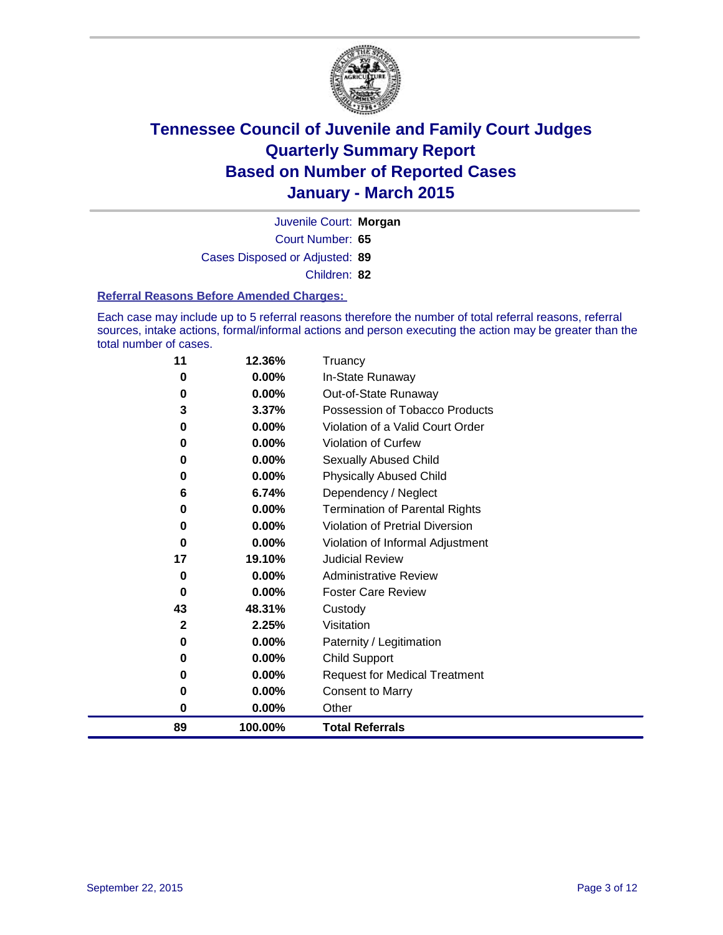

Court Number: **65** Juvenile Court: **Morgan** Cases Disposed or Adjusted: **89** Children: **82**

#### **Referral Reasons Before Amended Charges:**

Each case may include up to 5 referral reasons therefore the number of total referral reasons, referral sources, intake actions, formal/informal actions and person executing the action may be greater than the total number of cases.

| 11           | 12.36%  | Truancy                                |
|--------------|---------|----------------------------------------|
| 0            | 0.00%   | In-State Runaway                       |
| 0            | 0.00%   | Out-of-State Runaway                   |
| 3            | 3.37%   | Possession of Tobacco Products         |
| 0            | 0.00%   | Violation of a Valid Court Order       |
| 0            | 0.00%   | <b>Violation of Curfew</b>             |
| 0            | 0.00%   | Sexually Abused Child                  |
| 0            | 0.00%   | <b>Physically Abused Child</b>         |
| 6            | 6.74%   | Dependency / Neglect                   |
| 0            | 0.00%   | <b>Termination of Parental Rights</b>  |
| 0            | 0.00%   | <b>Violation of Pretrial Diversion</b> |
| 0            | 0.00%   | Violation of Informal Adjustment       |
| 17           | 19.10%  | <b>Judicial Review</b>                 |
| 0            | 0.00%   | <b>Administrative Review</b>           |
| 0            | 0.00%   | <b>Foster Care Review</b>              |
| 43           | 48.31%  | Custody                                |
| $\mathbf{2}$ | 2.25%   | Visitation                             |
| 0            | 0.00%   | Paternity / Legitimation               |
| 0            | 0.00%   | <b>Child Support</b>                   |
| 0            | 0.00%   | <b>Request for Medical Treatment</b>   |
| 0            | 0.00%   | <b>Consent to Marry</b>                |
| 0            | 0.00%   | Other                                  |
| 89           | 100.00% | <b>Total Referrals</b>                 |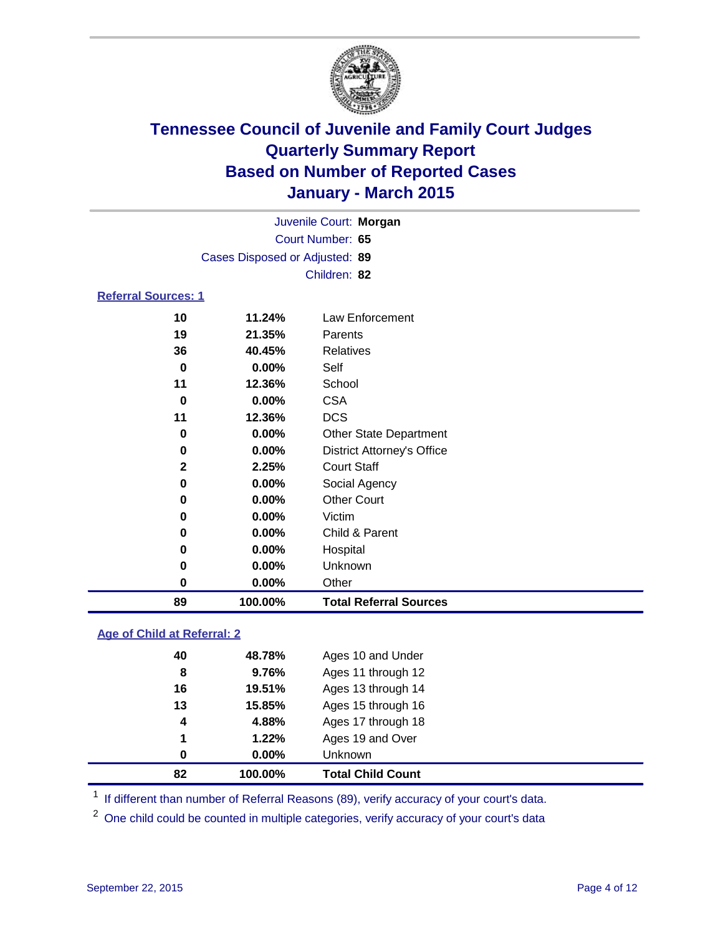

|                            |                                |        | Juvenile Court: Morgan |  |  |
|----------------------------|--------------------------------|--------|------------------------|--|--|
|                            | Court Number: 65               |        |                        |  |  |
|                            | Cases Disposed or Adjusted: 89 |        |                        |  |  |
|                            | Children: 82                   |        |                        |  |  |
| <b>Referral Sources: 1</b> |                                |        |                        |  |  |
|                            | 10                             | 11.24% | Law Enforcement        |  |  |
|                            | 19                             | 21.35% | Parents                |  |  |
|                            | 36                             | 40.45% | <b>Relatives</b>       |  |  |
|                            | Λ                              | በ በበዐ/ | C <sub>0</sub>         |  |  |

| 89 | 100.00%  | <b>Total Referral Sources</b>     |
|----|----------|-----------------------------------|
| 0  | 0.00%    | Other                             |
| 0  | $0.00\%$ | Unknown                           |
| 0  | 0.00%    | Hospital                          |
| 0  | 0.00%    | Child & Parent                    |
| 0  | $0.00\%$ | Victim                            |
| 0  | 0.00%    | <b>Other Court</b>                |
| 0  | $0.00\%$ | Social Agency                     |
| 2  | 2.25%    | <b>Court Staff</b>                |
| 0  | 0.00%    | <b>District Attorney's Office</b> |
| 0  | 0.00%    | <b>Other State Department</b>     |
| 11 | 12.36%   | <b>DCS</b>                        |
| 0  | 0.00%    | <b>CSA</b>                        |
| 11 | 12.36%   | School                            |
| 0  | 0.00%    | Self                              |

### **Age of Child at Referral: 2**

| 82 | 100.00%  | <b>Total Child Count</b> |  |
|----|----------|--------------------------|--|
| 0  | $0.00\%$ | <b>Unknown</b>           |  |
| 1  | 1.22%    | Ages 19 and Over         |  |
| 4  | 4.88%    | Ages 17 through 18       |  |
| 13 | 15.85%   | Ages 15 through 16       |  |
| 16 | 19.51%   | Ages 13 through 14       |  |
| 8  | 9.76%    | Ages 11 through 12       |  |
| 40 | 48.78%   | Ages 10 and Under        |  |
|    |          |                          |  |

<sup>1</sup> If different than number of Referral Reasons (89), verify accuracy of your court's data.

One child could be counted in multiple categories, verify accuracy of your court's data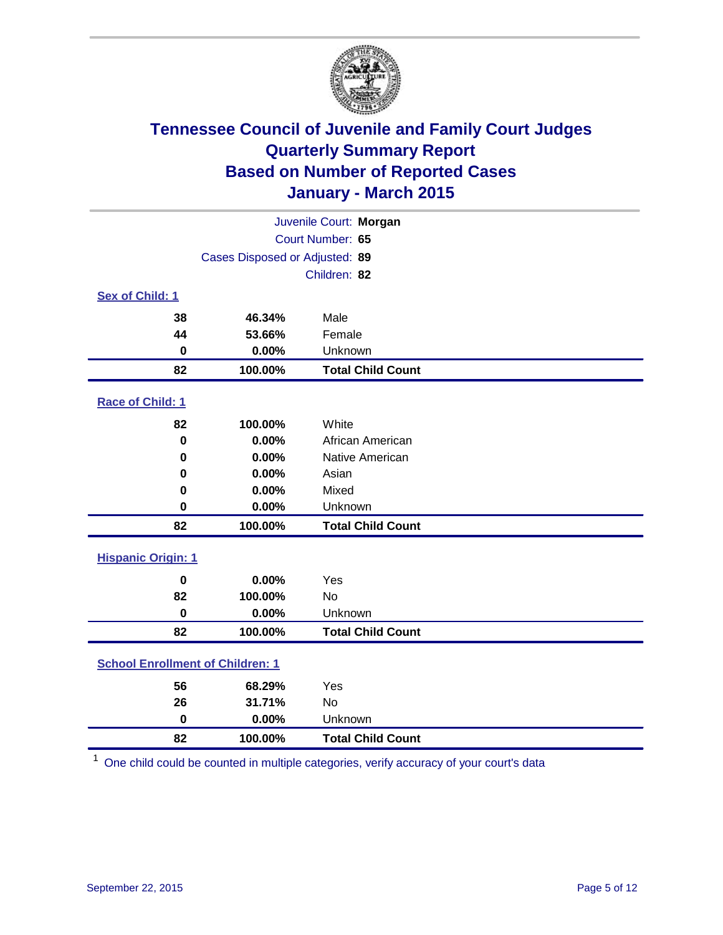

| Juvenile Court: Morgan                  |                                |                          |  |  |
|-----------------------------------------|--------------------------------|--------------------------|--|--|
|                                         | Court Number: 65               |                          |  |  |
|                                         | Cases Disposed or Adjusted: 89 |                          |  |  |
|                                         |                                | Children: 82             |  |  |
| Sex of Child: 1                         |                                |                          |  |  |
| 38                                      | 46.34%                         | Male                     |  |  |
| 44                                      | 53.66%                         | Female                   |  |  |
| $\bf{0}$                                | 0.00%                          | Unknown                  |  |  |
| 82                                      | 100.00%                        | <b>Total Child Count</b> |  |  |
| Race of Child: 1                        |                                |                          |  |  |
| 82                                      | 100.00%                        | White                    |  |  |
| $\bf{0}$                                | 0.00%                          | African American         |  |  |
| 0                                       | 0.00%                          | Native American          |  |  |
| 0                                       | 0.00%                          | Asian                    |  |  |
| 0                                       | 0.00%                          | Mixed                    |  |  |
| 0                                       | 0.00%                          | Unknown                  |  |  |
| 82                                      | 100.00%                        | <b>Total Child Count</b> |  |  |
| <b>Hispanic Origin: 1</b>               |                                |                          |  |  |
| $\mathbf 0$                             | 0.00%                          | Yes                      |  |  |
| 82                                      | 100.00%                        | <b>No</b>                |  |  |
| $\bf{0}$                                | 0.00%                          | Unknown                  |  |  |
| 82                                      | 100.00%                        | <b>Total Child Count</b> |  |  |
| <b>School Enrollment of Children: 1</b> |                                |                          |  |  |
| 56                                      | 68.29%                         | Yes                      |  |  |
| 26                                      | 31.71%                         | <b>No</b>                |  |  |
| $\mathbf 0$                             | 0.00%                          | Unknown                  |  |  |
| 82                                      | 100.00%                        | <b>Total Child Count</b> |  |  |

One child could be counted in multiple categories, verify accuracy of your court's data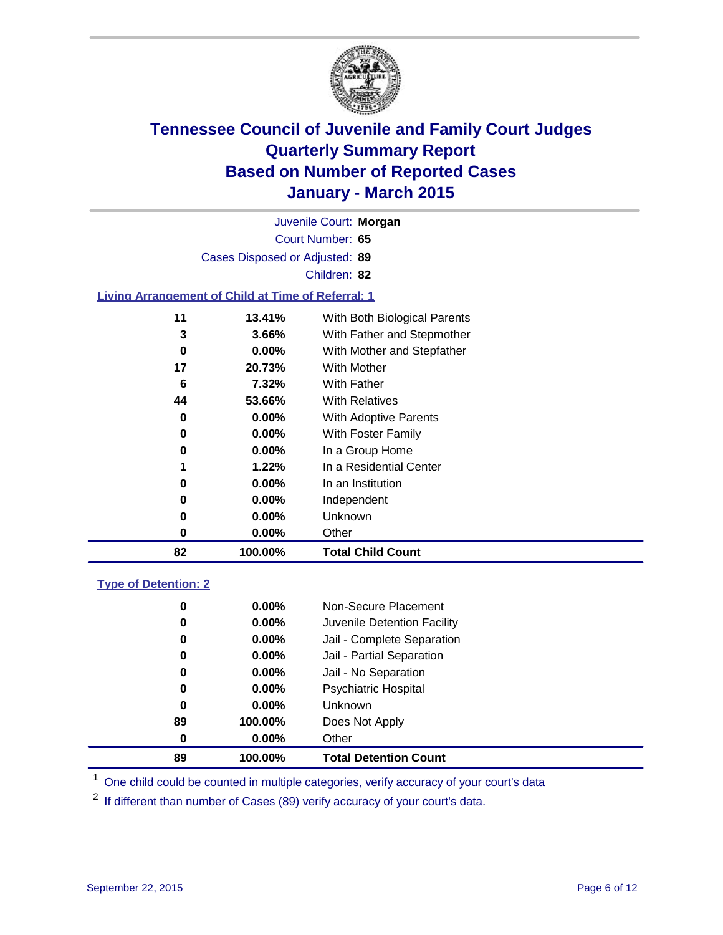

|                  | <b>Total Child Count</b><br>82<br>100.00%                 |                              |  |  |  |
|------------------|-----------------------------------------------------------|------------------------------|--|--|--|
| 0                | $0.00\%$                                                  | Other                        |  |  |  |
| 0                | $0.00\%$                                                  | Unknown                      |  |  |  |
| 0                | $0.00\%$                                                  | Independent                  |  |  |  |
| 0                | $0.00\%$                                                  | In an Institution            |  |  |  |
| 1                | 1.22%                                                     | In a Residential Center      |  |  |  |
| 0                | $0.00\%$                                                  | In a Group Home              |  |  |  |
| 0                | $0.00\%$                                                  | With Foster Family           |  |  |  |
| 0                | $0.00\%$                                                  | <b>With Adoptive Parents</b> |  |  |  |
| 44               | 53.66%                                                    | <b>With Relatives</b>        |  |  |  |
| 6                | 7.32%                                                     | <b>With Father</b>           |  |  |  |
| 17               | 20.73%                                                    | With Mother                  |  |  |  |
| 0                | $0.00\%$                                                  | With Mother and Stepfather   |  |  |  |
| 3                | 3.66%                                                     | With Father and Stepmother   |  |  |  |
| 11               | 13.41%                                                    | With Both Biological Parents |  |  |  |
|                  | <b>Living Arrangement of Child at Time of Referral: 1</b> |                              |  |  |  |
|                  |                                                           | Children: 82                 |  |  |  |
|                  | Cases Disposed or Adjusted: 89                            |                              |  |  |  |
|                  |                                                           |                              |  |  |  |
| Court Number: 65 |                                                           |                              |  |  |  |
|                  |                                                           | Juvenile Court: Morgan       |  |  |  |

### **Type of Detention: 2**

| 89 | 100.00%  | <b>Total Detention Count</b> |
|----|----------|------------------------------|
| 0  | $0.00\%$ | Other                        |
| 89 | 100.00%  | Does Not Apply               |
| 0  | $0.00\%$ | <b>Unknown</b>               |
| 0  | $0.00\%$ | <b>Psychiatric Hospital</b>  |
| 0  | 0.00%    | Jail - No Separation         |
| 0  | 0.00%    | Jail - Partial Separation    |
| 0  | $0.00\%$ | Jail - Complete Separation   |
| 0  | $0.00\%$ | Juvenile Detention Facility  |
| 0  | $0.00\%$ | Non-Secure Placement         |

<sup>1</sup> One child could be counted in multiple categories, verify accuracy of your court's data

If different than number of Cases (89) verify accuracy of your court's data.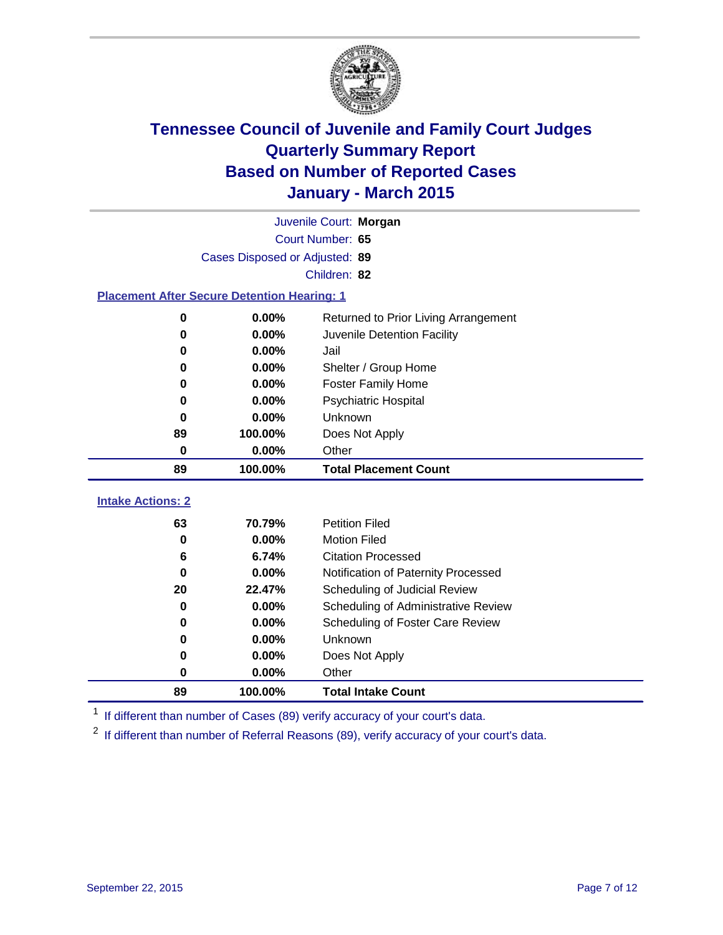

|                                                    | Juvenile Court: Morgan         |                                      |  |  |  |  |
|----------------------------------------------------|--------------------------------|--------------------------------------|--|--|--|--|
|                                                    | Court Number: 65               |                                      |  |  |  |  |
|                                                    | Cases Disposed or Adjusted: 89 |                                      |  |  |  |  |
|                                                    | Children: 82                   |                                      |  |  |  |  |
| <b>Placement After Secure Detention Hearing: 1</b> |                                |                                      |  |  |  |  |
| 0                                                  | 0.00%                          | Returned to Prior Living Arrangement |  |  |  |  |
| 0                                                  | 0.00%                          | Juvenile Detention Facility          |  |  |  |  |
| 0                                                  | 0.00%                          | Jail                                 |  |  |  |  |
| 0                                                  | 0.00%                          | Shelter / Group Home                 |  |  |  |  |
| 0                                                  | 0.00%                          | <b>Foster Family Home</b>            |  |  |  |  |
| $\bf{0}$                                           | 0.00%                          | Psychiatric Hospital                 |  |  |  |  |
| 0                                                  | 0.00%                          | Unknown                              |  |  |  |  |
| 89                                                 | 100.00%                        | Does Not Apply                       |  |  |  |  |
| 0                                                  | 0.00%                          | Other                                |  |  |  |  |
| 89                                                 | 100.00%                        | <b>Total Placement Count</b>         |  |  |  |  |
| <b>Intake Actions: 2</b>                           |                                |                                      |  |  |  |  |
| 63                                                 | 70.79%                         | <b>Petition Filed</b>                |  |  |  |  |
| $\bf{0}$                                           | 0.00%                          | <b>Motion Filed</b>                  |  |  |  |  |
| 6                                                  | 6.74%                          | <b>Citation Processed</b>            |  |  |  |  |
| $\bf{0}$                                           | 0.00%                          | Notification of Paternity Processed  |  |  |  |  |
| 20                                                 | 22.47%                         | Scheduling of Judicial Review        |  |  |  |  |
| $\bf{0}$                                           | 0.00%                          | Scheduling of Administrative Review  |  |  |  |  |
|                                                    |                                |                                      |  |  |  |  |
| 0                                                  | 0.00%                          | Scheduling of Foster Care Review     |  |  |  |  |
| 0                                                  | 0.00%                          | Unknown                              |  |  |  |  |
| 0                                                  | 0.00%                          | Does Not Apply                       |  |  |  |  |

<sup>1</sup> If different than number of Cases (89) verify accuracy of your court's data.

**100.00% Total Intake Count**

<sup>2</sup> If different than number of Referral Reasons (89), verify accuracy of your court's data.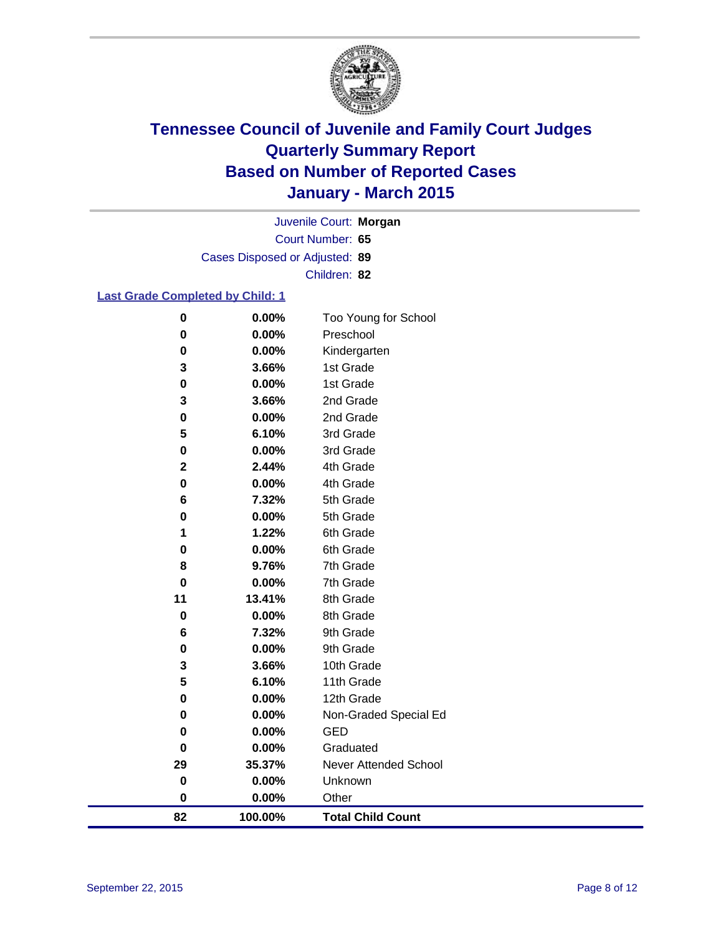

Court Number: **65** Juvenile Court: **Morgan** Cases Disposed or Adjusted: **89** Children: **82**

### **Last Grade Completed by Child: 1**

| 82          | 100.00% | <b>Total Child Count</b>     |
|-------------|---------|------------------------------|
| 0           | 0.00%   | Other                        |
| 0           | 0.00%   | Unknown                      |
| 29          | 35.37%  | <b>Never Attended School</b> |
| $\bf{0}$    | 0.00%   | Graduated                    |
| 0           | 0.00%   | <b>GED</b>                   |
| 0           | 0.00%   | Non-Graded Special Ed        |
| 0           | 0.00%   | 12th Grade                   |
| 5           | 6.10%   | 11th Grade                   |
| 3           | 3.66%   | 10th Grade                   |
| 0           | 0.00%   | 9th Grade                    |
| 6           | 7.32%   | 9th Grade                    |
| 0           | 0.00%   | 8th Grade                    |
| 11          | 13.41%  | 8th Grade                    |
| $\bf{0}$    | 0.00%   | 7th Grade                    |
| 8           | 9.76%   | 7th Grade                    |
| 0           | 0.00%   | 6th Grade                    |
| 1           | 1.22%   | 6th Grade                    |
| 0           | 0.00%   | 5th Grade                    |
| 6           | 7.32%   | 5th Grade                    |
| 0           | 0.00%   | 4th Grade                    |
| $\mathbf 2$ | 2.44%   | 4th Grade                    |
| 0           | 0.00%   | 3rd Grade                    |
| 5           | 6.10%   | 3rd Grade                    |
| 0           | 0.00%   | 2nd Grade                    |
| 3           | 3.66%   | 2nd Grade                    |
| 0           | 0.00%   | 1st Grade                    |
| 3           | 3.66%   | 1st Grade                    |
| 0           | 0.00%   | Kindergarten                 |
| 0           | 0.00%   | Preschool                    |
| 0           | 0.00%   | Too Young for School         |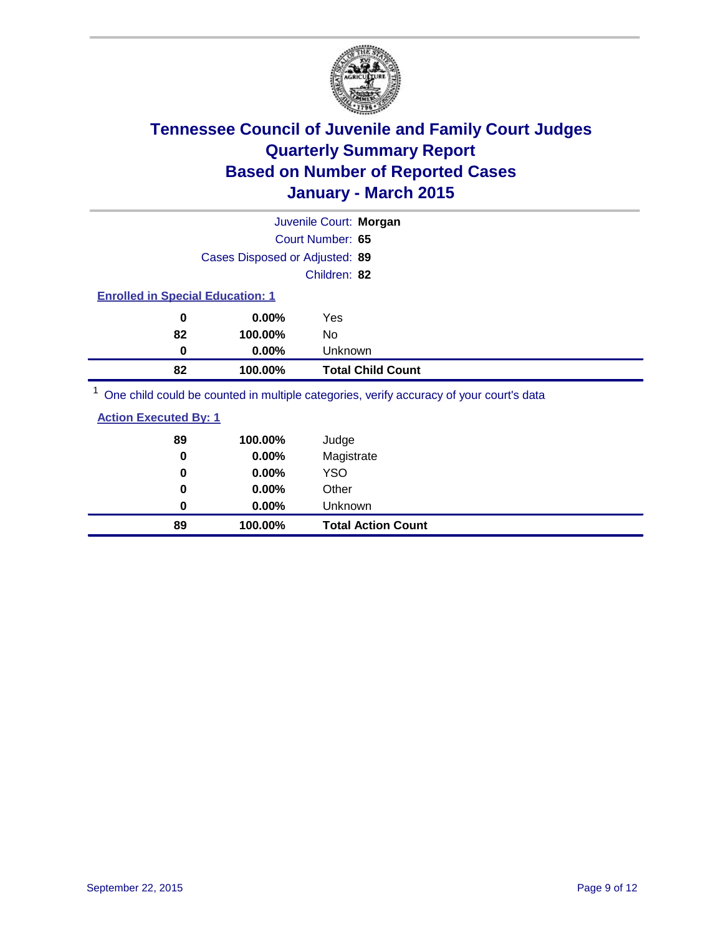

|                                         |                                | Juvenile Court: Morgan                                                                  |
|-----------------------------------------|--------------------------------|-----------------------------------------------------------------------------------------|
|                                         |                                | Court Number: 65                                                                        |
|                                         | Cases Disposed or Adjusted: 89 |                                                                                         |
|                                         |                                | Children: 82                                                                            |
| <b>Enrolled in Special Education: 1</b> |                                |                                                                                         |
| 0                                       | $0.00\%$                       | Yes                                                                                     |
| 82                                      | 100.00%                        | No.                                                                                     |
| 0                                       | $0.00\%$                       | Unknown                                                                                 |
| 82                                      | 100.00%                        | <b>Total Child Count</b>                                                                |
|                                         |                                | One child could be counted in multiple categories, verify accuracy of your court's data |

 $\operatorname{child}$  could be counted in multiple categories, verify accuracy of your court's

| <b>Action Executed By: 1</b> |
|------------------------------|
|------------------------------|

| 89<br>0 | 100.00%<br>0.00% | Judge<br>Magistrate       |
|---------|------------------|---------------------------|
| 0       | $0.00\%$         | <b>YSO</b>                |
| 0       | 0.00%            | Other                     |
| 0       | $0.00\%$         | Unknown                   |
| 89      | 100.00%          | <b>Total Action Count</b> |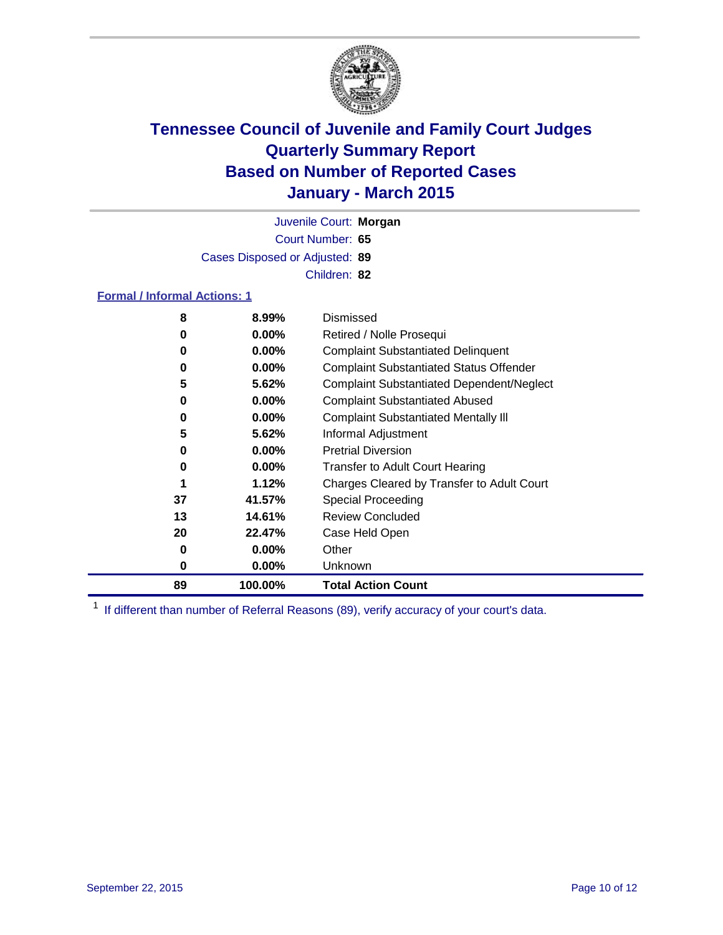

Court Number: **65** Juvenile Court: **Morgan** Cases Disposed or Adjusted: **89** Children: **82**

### **Formal / Informal Actions: 1**

| 8  | 8.99%    | Dismissed                                        |
|----|----------|--------------------------------------------------|
| 0  | $0.00\%$ | Retired / Nolle Prosequi                         |
| 0  | $0.00\%$ | <b>Complaint Substantiated Delinquent</b>        |
| 0  | $0.00\%$ | <b>Complaint Substantiated Status Offender</b>   |
| 5  | 5.62%    | <b>Complaint Substantiated Dependent/Neglect</b> |
| 0  | $0.00\%$ | <b>Complaint Substantiated Abused</b>            |
| 0  | $0.00\%$ | <b>Complaint Substantiated Mentally III</b>      |
| 5  | 5.62%    | Informal Adjustment                              |
| 0  | $0.00\%$ | <b>Pretrial Diversion</b>                        |
| 0  | $0.00\%$ | <b>Transfer to Adult Court Hearing</b>           |
|    | 1.12%    | Charges Cleared by Transfer to Adult Court       |
| 37 | 41.57%   | Special Proceeding                               |
| 13 | 14.61%   | <b>Review Concluded</b>                          |
| 20 | 22.47%   | Case Held Open                                   |
| 0  | $0.00\%$ | Other                                            |
| 0  | $0.00\%$ | <b>Unknown</b>                                   |
| 89 | 100.00%  | <b>Total Action Count</b>                        |

<sup>1</sup> If different than number of Referral Reasons (89), verify accuracy of your court's data.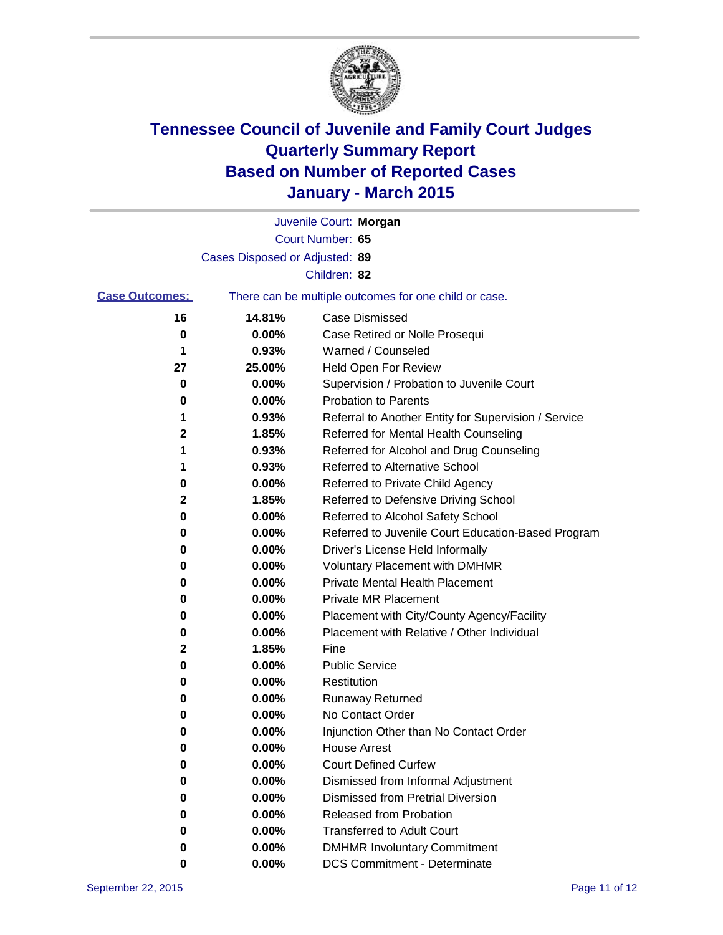

|                       |                                | Juvenile Court: Morgan                                |
|-----------------------|--------------------------------|-------------------------------------------------------|
|                       |                                | Court Number: 65                                      |
|                       | Cases Disposed or Adjusted: 89 |                                                       |
|                       |                                | Children: 82                                          |
| <b>Case Outcomes:</b> |                                | There can be multiple outcomes for one child or case. |
| 16                    | 14.81%                         | <b>Case Dismissed</b>                                 |
| 0                     | 0.00%                          | Case Retired or Nolle Prosequi                        |
| 1                     | 0.93%                          | Warned / Counseled                                    |
| 27                    | 25.00%                         | Held Open For Review                                  |
| 0                     | 0.00%                          | Supervision / Probation to Juvenile Court             |
| 0                     | 0.00%                          | <b>Probation to Parents</b>                           |
| 1                     | 0.93%                          | Referral to Another Entity for Supervision / Service  |
| 2                     | 1.85%                          | Referred for Mental Health Counseling                 |
| 1                     | 0.93%                          | Referred for Alcohol and Drug Counseling              |
| 1                     | 0.93%                          | Referred to Alternative School                        |
| 0                     | 0.00%                          | Referred to Private Child Agency                      |
| 2                     | 1.85%                          | Referred to Defensive Driving School                  |
| 0                     | 0.00%                          | Referred to Alcohol Safety School                     |
| 0                     | 0.00%                          | Referred to Juvenile Court Education-Based Program    |
| 0                     | 0.00%                          | Driver's License Held Informally                      |
| 0                     | 0.00%                          | <b>Voluntary Placement with DMHMR</b>                 |
| 0                     | 0.00%                          | <b>Private Mental Health Placement</b>                |
| 0                     | 0.00%                          | <b>Private MR Placement</b>                           |
| 0                     | 0.00%                          | Placement with City/County Agency/Facility            |
| 0                     | 0.00%                          | Placement with Relative / Other Individual            |
| 2                     | 1.85%                          | Fine                                                  |
| 0                     | 0.00%                          | <b>Public Service</b>                                 |
| 0                     | 0.00%                          | Restitution                                           |
| 0                     | 0.00%                          | <b>Runaway Returned</b>                               |
| 0                     | 0.00%                          | No Contact Order                                      |
| 0                     | 0.00%                          | Injunction Other than No Contact Order                |
| 0                     | 0.00%                          | <b>House Arrest</b>                                   |
| 0                     | 0.00%                          | <b>Court Defined Curfew</b>                           |
| 0                     | 0.00%                          | Dismissed from Informal Adjustment                    |
| 0                     | 0.00%                          | <b>Dismissed from Pretrial Diversion</b>              |
| 0                     | 0.00%                          | Released from Probation                               |
| 0                     | 0.00%                          | <b>Transferred to Adult Court</b>                     |
| 0                     | 0.00%                          | <b>DMHMR Involuntary Commitment</b>                   |
| 0                     | 0.00%                          | <b>DCS Commitment - Determinate</b>                   |